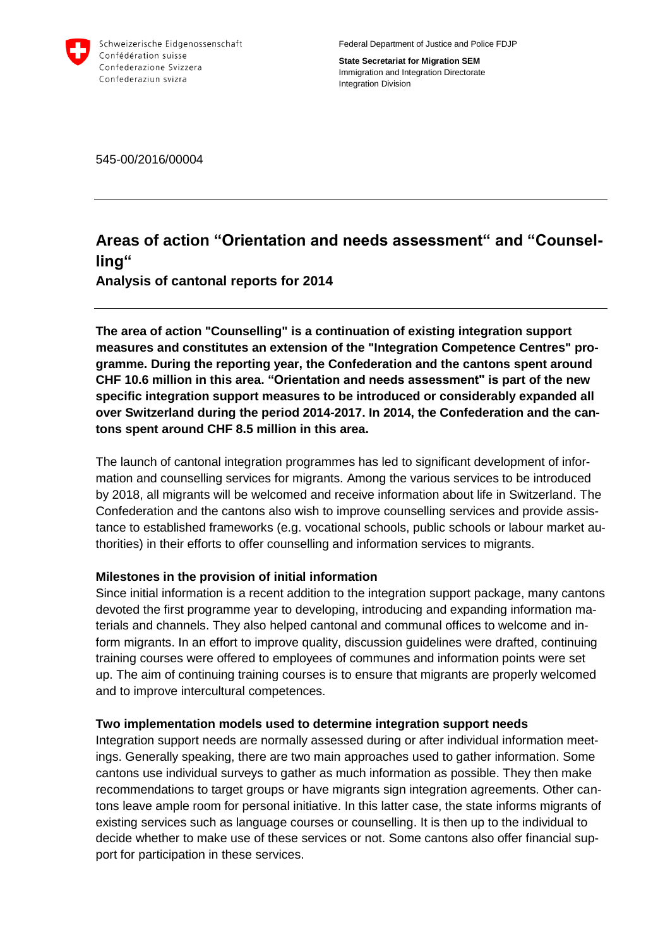

Federal Department of Justice and Police FDJP

**State Secretariat for Migration SEM** Immigration and Integration Directorate Integration Division

545-00/2016/00004

# **Areas of action "Orientation and needs assessment" and "Counselling"**

**Analysis of cantonal reports for 2014**

**The area of action "Counselling" is a continuation of existing integration support measures and constitutes an extension of the "Integration Competence Centres" programme. During the reporting year, the Confederation and the cantons spent around CHF 10.6 million in this area. "Orientation and needs assessment" is part of the new specific integration support measures to be introduced or considerably expanded all over Switzerland during the period 2014-2017. In 2014, the Confederation and the cantons spent around CHF 8.5 million in this area.**

The launch of cantonal integration programmes has led to significant development of information and counselling services for migrants. Among the various services to be introduced by 2018, all migrants will be welcomed and receive information about life in Switzerland. The Confederation and the cantons also wish to improve counselling services and provide assistance to established frameworks (e.g. vocational schools, public schools or labour market authorities) in their efforts to offer counselling and information services to migrants.

# **Milestones in the provision of initial information**

Since initial information is a recent addition to the integration support package, many cantons devoted the first programme year to developing, introducing and expanding information materials and channels. They also helped cantonal and communal offices to welcome and inform migrants. In an effort to improve quality, discussion guidelines were drafted, continuing training courses were offered to employees of communes and information points were set up. The aim of continuing training courses is to ensure that migrants are properly welcomed and to improve intercultural competences.

# **Two implementation models used to determine integration support needs**

Integration support needs are normally assessed during or after individual information meetings. Generally speaking, there are two main approaches used to gather information. Some cantons use individual surveys to gather as much information as possible. They then make recommendations to target groups or have migrants sign integration agreements. Other cantons leave ample room for personal initiative. In this latter case, the state informs migrants of existing services such as language courses or counselling. It is then up to the individual to decide whether to make use of these services or not. Some cantons also offer financial support for participation in these services.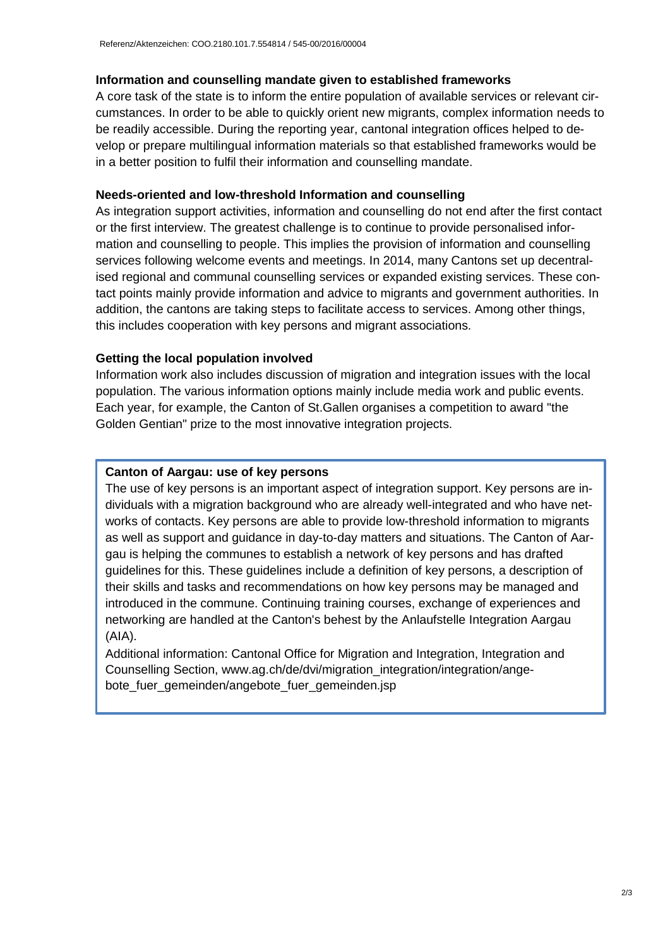#### **Information and counselling mandate given to established frameworks**

A core task of the state is to inform the entire population of available services or relevant circumstances. In order to be able to quickly orient new migrants, complex information needs to be readily accessible. During the reporting year, cantonal integration offices helped to develop or prepare multilingual information materials so that established frameworks would be in a better position to fulfil their information and counselling mandate.

#### **Needs-oriented and low-threshold Information and counselling**

As integration support activities, information and counselling do not end after the first contact or the first interview. The greatest challenge is to continue to provide personalised information and counselling to people. This implies the provision of information and counselling services following welcome events and meetings. In 2014, many Cantons set up decentralised regional and communal counselling services or expanded existing services. These contact points mainly provide information and advice to migrants and government authorities. In addition, the cantons are taking steps to facilitate access to services. Among other things, this includes cooperation with key persons and migrant associations.

#### **Getting the local population involved**

Information work also includes discussion of migration and integration issues with the local population. The various information options mainly include media work and public events. Each year, for example, the Canton of St.Gallen organises a competition to award "the Golden Gentian" prize to the most innovative integration projects.

### **Canton of Aargau: use of key persons**

The use of key persons is an important aspect of integration support. Key persons are individuals with a migration background who are already well-integrated and who have networks of contacts. Key persons are able to provide low-threshold information to migrants as well as support and guidance in day-to-day matters and situations. The Canton of Aargau is helping the communes to establish a network of key persons and has drafted guidelines for this. These guidelines include a definition of key persons, a description of their skills and tasks and recommendations on how key persons may be managed and introduced in the commune. Continuing training courses, exchange of experiences and networking are handled at the Canton's behest by the Anlaufstelle Integration Aargau (AIA).

Additional information: Cantonal Office for Migration and Integration, Integration and Counselling Section, www.ag.ch/de/dvi/migration\_integration/integration/angebote\_fuer\_gemeinden/angebote\_fuer\_gemeinden.jsp